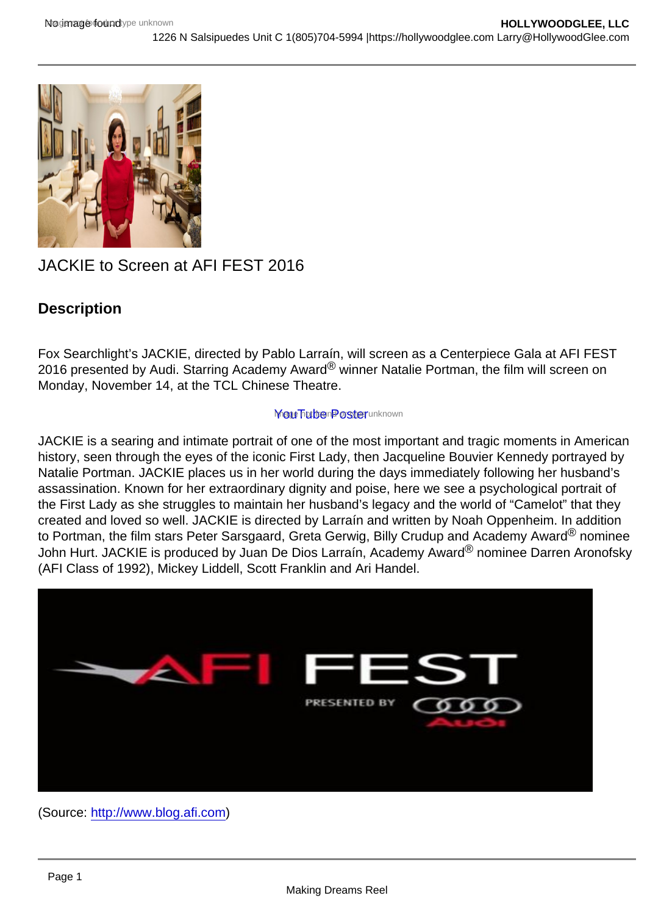# JACKIE to Screen at AFI FEST 2016

**Description** 

Fox Searchlight's JACKIE, directed by Pablo Larraín, will screen as a Centerpiece Gala at AFI FEST 2016 presented by Audi. Starring Academy Award® winner Natalie Portman, the film will screen on Monday, November 14, at the TCL Chinese Theatre.

#### **Yout Tube Poster unknown**

JACKIE is a searing and intimate portrait of one of the most important and tragic moments in American history, seen through the eyes of the iconic First Lady, then Jacqueline Bouvier Kennedy portrayed by Natalie Portman. JACKIE places us in her world during the days immediately following her husband's assassination. Known for her extraordinary dignity and poise, here we see a psychological portrait of the First Lady as she struggles to maintain her husband's legacy and the world of "Camelot" that they created and loved so well. JACKIE is directed by Larraín and written by Noah Oppenheim. In addition to Portman, the film stars Peter Sarsgaard, Greta Gerwig, Billy Crudup and Academy Award® nominee John Hurt. JACKIE is produced by Juan De Dios Larraín, Academy Award® nominee Darren Aronofsky (AFI Class of 1992), Mickey Liddell, Scott Franklin and Ari Handel.

(Source: [http://www.blog.afi.com\)](http://www.blog.afi.com)